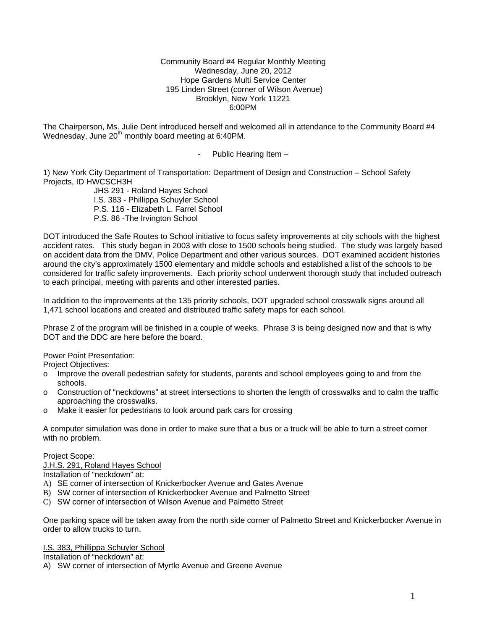### Community Board #4 Regular Monthly Meeting Wednesday, June 20, 2012 Hope Gardens Multi Service Center 195 Linden Street (corner of Wilson Avenue) Brooklyn, New York 11221 6:00PM

The Chairperson, Ms. Julie Dent introduced herself and welcomed all in attendance to the Community Board #4 Wednesday, June 20<sup>th</sup> monthly board meeting at 6:40PM.

- Public Hearing Item –

1) New York City Department of Transportation: Department of Design and Construction – School Safety Projects, ID HWCSCH3H

 JHS 291 - Roland Hayes School I.S. 383 - Phillippa Schuyler School P.S. 116 - Elizabeth L. Farrel School P.S. 86 -The Irvington School

DOT introduced the Safe Routes to School initiative to focus safety improvements at city schools with the highest accident rates. This study began in 2003 with close to 1500 schools being studied. The study was largely based on accident data from the DMV, Police Department and other various sources. DOT examined accident histories around the city's approximately 1500 elementary and middle schools and established a list of the schools to be considered for traffic safety improvements. Each priority school underwent thorough study that included outreach to each principal, meeting with parents and other interested parties.

In addition to the improvements at the 135 priority schools, DOT upgraded school crosswalk signs around all 1,471 school locations and created and distributed traffic safety maps for each school.

Phrase 2 of the program will be finished in a couple of weeks. Phrase 3 is being designed now and that is why DOT and the DDC are here before the board.

Power Point Presentation:

Project Objectives:

- o Improve the overall pedestrian safety for students, parents and school employees going to and from the schools.
- o Construction of "neckdowns" at street intersections to shorten the length of crosswalks and to calm the traffic approaching the crosswalks.
- o Make it easier for pedestrians to look around park cars for crossing

A computer simulation was done in order to make sure that a bus or a truck will be able to turn a street corner with no problem.

Project Scope:

J.H.S. 291, Roland Hayes School

Installation of "neckdown" at:

- A) SE corner of intersection of Knickerbocker Avenue and Gates Avenue
- B) SW corner of intersection of Knickerbocker Avenue and Palmetto Street
- C) SW corner of intersection of Wilson Avenue and Palmetto Street

One parking space will be taken away from the north side corner of Palmetto Street and Knickerbocker Avenue in order to allow trucks to turn.

I.S. 383, Phillippa Schuyler School

Installation of "neckdown" at:

A) SW corner of intersection of Myrtle Avenue and Greene Avenue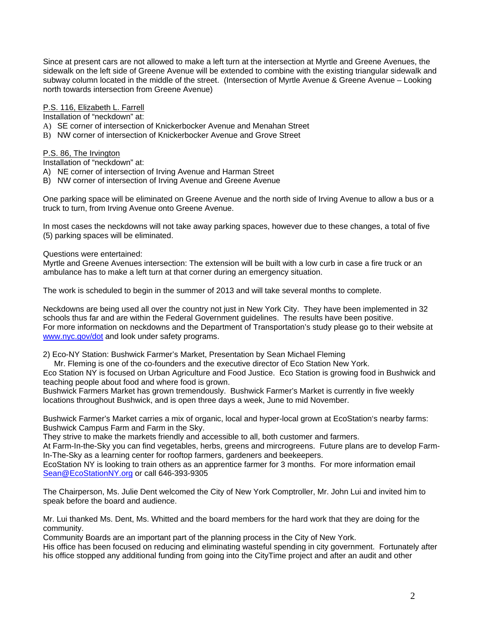Since at present cars are not allowed to make a left turn at the intersection at Myrtle and Greene Avenues, the sidewalk on the left side of Greene Avenue will be extended to combine with the existing triangular sidewalk and subway column located in the middle of the street. (Intersection of Myrtle Avenue & Greene Avenue – Looking north towards intersection from Greene Avenue)

P.S. 116, Elizabeth L. Farrell

Installation of "neckdown" at:

- A) SE corner of intersection of Knickerbocker Avenue and Menahan Street
- B) NW corner of intersection of Knickerbocker Avenue and Grove Street

## P.S. 86, The Irvington

Installation of "neckdown" at:

- A) NE corner of intersection of Irving Avenue and Harman Street
- B) NW corner of intersection of Irving Avenue and Greene Avenue

One parking space will be eliminated on Greene Avenue and the north side of Irving Avenue to allow a bus or a truck to turn, from Irving Avenue onto Greene Avenue.

In most cases the neckdowns will not take away parking spaces, however due to these changes, a total of five (5) parking spaces will be eliminated.

Questions were entertained:

Myrtle and Greene Avenues intersection: The extension will be built with a low curb in case a fire truck or an ambulance has to make a left turn at that corner during an emergency situation.

The work is scheduled to begin in the summer of 2013 and will take several months to complete.

Neckdowns are being used all over the country not just in New York City. They have been implemented in 32 schools thus far and are within the Federal Government guidelines. The results have been positive. For more information on neckdowns and the Department of Transportation's study please go to their website at [www.nyc.gov/dot](http://www.nyc.gov/dot) and look under safety programs.

2) Eco-NY Station: Bushwick Farmer's Market, Presentation by Sean Michael Fleming

Mr. Fleming is one of the co-founders and the executive director of Eco Station New York.

Eco Station NY is focused on Urban Agriculture and Food Justice. Eco Station is growing food in Bushwick and teaching people about food and where food is grown.

Bushwick Farmers Market has grown tremendously. Bushwick Farmer's Market is currently in five weekly locations throughout Bushwick, and is open three days a week, June to mid November.

Bushwick Farmer's Market carries a mix of organic, local and hyper-local grown at EcoStation's nearby farms: Bushwick Campus Farm and Farm in the Sky.

They strive to make the markets friendly and accessible to all, both customer and farmers.

At Farm-In-the-Sky you can find vegetables, herbs, greens and mircrogreens. Future plans are to develop Farm-In-The-Sky as a learning center for rooftop farmers, gardeners and beekeepers.

EcoStation NY is looking to train others as an apprentice farmer for 3 months. For more information email [Sean@EcoStationNY.org](mailto:Sean@EcoStationNY.org) or call 646-393-9305

The Chairperson, Ms. Julie Dent welcomed the City of New York Comptroller, Mr. John Lui and invited him to speak before the board and audience.

Mr. Lui thanked Ms. Dent, Ms. Whitted and the board members for the hard work that they are doing for the community.

Community Boards are an important part of the planning process in the City of New York.

His office has been focused on reducing and eliminating wasteful spending in city government. Fortunately after his office stopped any additional funding from going into the CityTime project and after an audit and other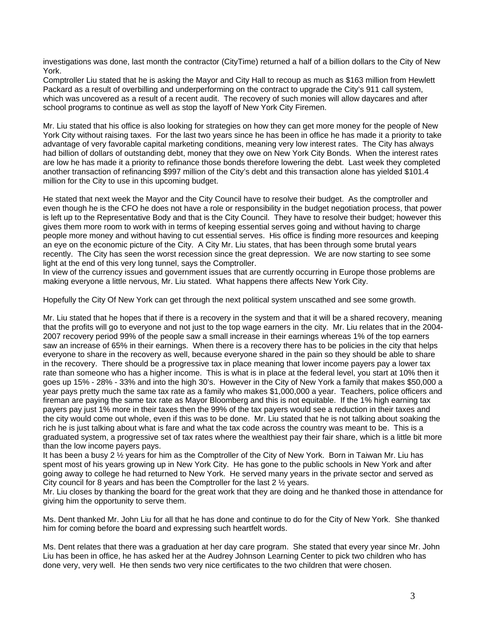investigations was done, last month the contractor (CityTime) returned a half of a billion dollars to the City of New York.

Comptroller Liu stated that he is asking the Mayor and City Hall to recoup as much as \$163 million from Hewlett Packard as a result of overbilling and underperforming on the contract to upgrade the City's 911 call system, which was uncovered as a result of a recent audit. The recovery of such monies will allow daycares and after school programs to continue as well as stop the layoff of New York City Firemen.

Mr. Liu stated that his office is also looking for strategies on how they can get more money for the people of New York City without raising taxes. For the last two years since he has been in office he has made it a priority to take advantage of very favorable capital marketing conditions, meaning very low interest rates. The City has always had billion of dollars of outstanding debt, money that they owe on New York City Bonds. When the interest rates are low he has made it a priority to refinance those bonds therefore lowering the debt. Last week they completed another transaction of refinancing \$997 million of the City's debt and this transaction alone has yielded \$101.4 million for the City to use in this upcoming budget.

He stated that next week the Mayor and the City Council have to resolve their budget. As the comptroller and even though he is the CFO he does not have a role or responsibility in the budget negotiation process, that power is left up to the Representative Body and that is the City Council. They have to resolve their budget; however this gives them more room to work with in terms of keeping essential serves going and without having to charge people more money and without having to cut essential serves. His office is finding more resources and keeping an eye on the economic picture of the City. A City Mr. Liu states, that has been through some brutal years recently. The City has seen the worst recession since the great depression. We are now starting to see some light at the end of this very long tunnel, says the Comptroller.

In view of the currency issues and government issues that are currently occurring in Europe those problems are making everyone a little nervous, Mr. Liu stated. What happens there affects New York City.

Hopefully the City Of New York can get through the next political system unscathed and see some growth.

Mr. Liu stated that he hopes that if there is a recovery in the system and that it will be a shared recovery, meaning that the profits will go to everyone and not just to the top wage earners in the city. Mr. Liu relates that in the 2004- 2007 recovery period 99% of the people saw a small increase in their earnings whereas 1% of the top earners saw an increase of 65% in their earnings. When there is a recovery there has to be policies in the city that helps everyone to share in the recovery as well, because everyone shared in the pain so they should be able to share in the recovery. There should be a progressive tax in place meaning that lower income payers pay a lower tax rate than someone who has a higher income. This is what is in place at the federal level, you start at 10% then it goes up 15% - 28% - 33% and into the high 30's. However in the City of New York a family that makes \$50,000 a year pays pretty much the same tax rate as a family who makes \$1,000,000 a year. Teachers, police officers and fireman are paying the same tax rate as Mayor Bloomberg and this is not equitable. If the 1% high earning tax payers pay just 1% more in their taxes then the 99% of the tax payers would see a reduction in their taxes and the city would come out whole, even if this was to be done. Mr. Liu stated that he is not talking about soaking the rich he is just talking about what is fare and what the tax code across the country was meant to be. This is a graduated system, a progressive set of tax rates where the wealthiest pay their fair share, which is a little bit more than the low income payers pays.

It has been a busy 2 ½ years for him as the Comptroller of the City of New York. Born in Taiwan Mr. Liu has spent most of his years growing up in New York City. He has gone to the public schools in New York and after going away to college he had returned to New York. He served many years in the private sector and served as City council for 8 years and has been the Comptroller for the last 2 ½ years.

Mr. Liu closes by thanking the board for the great work that they are doing and he thanked those in attendance for giving him the opportunity to serve them.

Ms. Dent thanked Mr. John Liu for all that he has done and continue to do for the City of New York. She thanked him for coming before the board and expressing such heartfelt words.

Ms. Dent relates that there was a graduation at her day care program. She stated that every year since Mr. John Liu has been in office, he has asked her at the Audrey Johnson Learning Center to pick two children who has done very, very well. He then sends two very nice certificates to the two children that were chosen.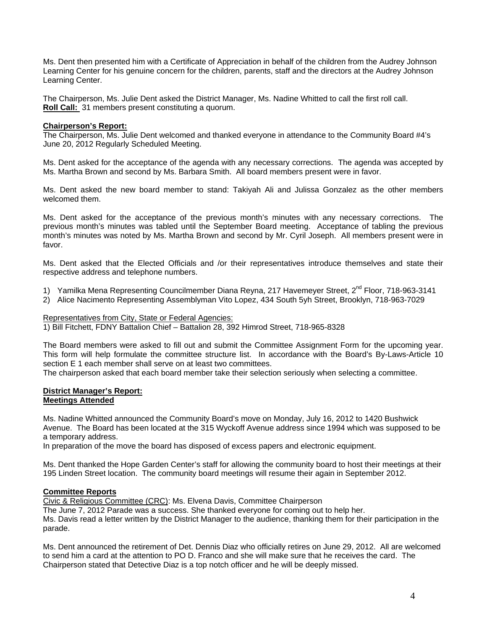Ms. Dent then presented him with a Certificate of Appreciation in behalf of the children from the Audrey Johnson Learning Center for his genuine concern for the children, parents, staff and the directors at the Audrey Johnson Learning Center.

The Chairperson, Ms. Julie Dent asked the District Manager, Ms. Nadine Whitted to call the first roll call. **Roll Call:** 31 members present constituting a quorum.

## **Chairperson's Report:**

The Chairperson, Ms. Julie Dent welcomed and thanked everyone in attendance to the Community Board #4's June 20, 2012 Regularly Scheduled Meeting.

Ms. Dent asked for the acceptance of the agenda with any necessary corrections. The agenda was accepted by Ms. Martha Brown and second by Ms. Barbara Smith. All board members present were in favor.

Ms. Dent asked the new board member to stand: Takiyah Ali and Julissa Gonzalez as the other members welcomed them.

Ms. Dent asked for the acceptance of the previous month's minutes with any necessary corrections. The previous month's minutes was tabled until the September Board meeting. Acceptance of tabling the previous month's minutes was noted by Ms. Martha Brown and second by Mr. Cyril Joseph. All members present were in favor.

Ms. Dent asked that the Elected Officials and /or their representatives introduce themselves and state their respective address and telephone numbers.

- 1) Yamilka Mena Representing Councilmember Diana Reyna, 217 Havemeyer Street, 2<sup>nd</sup> Floor, 718-963-3141
- 2) Alice Nacimento Representing Assemblyman Vito Lopez, 434 South 5yh Street, Brooklyn, 718-963-7029

## Representatives from City, State or Federal Agencies:

1) Bill Fitchett, FDNY Battalion Chief – Battalion 28, 392 Himrod Street, 718-965-8328

The Board members were asked to fill out and submit the Committee Assignment Form for the upcoming year. This form will help formulate the committee structure list. In accordance with the Board's By-Laws-Article 10 section E 1 each member shall serve on at least two committees.

The chairperson asked that each board member take their selection seriously when selecting a committee.

#### **District Manager's Report: Meetings Attended**

Ms. Nadine Whitted announced the Community Board's move on Monday, July 16, 2012 to 1420 Bushwick Avenue. The Board has been located at the 315 Wyckoff Avenue address since 1994 which was supposed to be a temporary address.

In preparation of the move the board has disposed of excess papers and electronic equipment.

Ms. Dent thanked the Hope Garden Center's staff for allowing the community board to host their meetings at their 195 Linden Street location. The community board meetings will resume their again in September 2012.

## **Committee Reports**

Civic & Religious Committee (CRC): Ms. Elvena Davis, Committee Chairperson

The June 7, 2012 Parade was a success. She thanked everyone for coming out to help her. Ms. Davis read a letter written by the District Manager to the audience, thanking them for their participation in the parade.

Ms. Dent announced the retirement of Det. Dennis Diaz who officially retires on June 29, 2012. All are welcomed to send him a card at the attention to PO D. Franco and she will make sure that he receives the card. The Chairperson stated that Detective Diaz is a top notch officer and he will be deeply missed.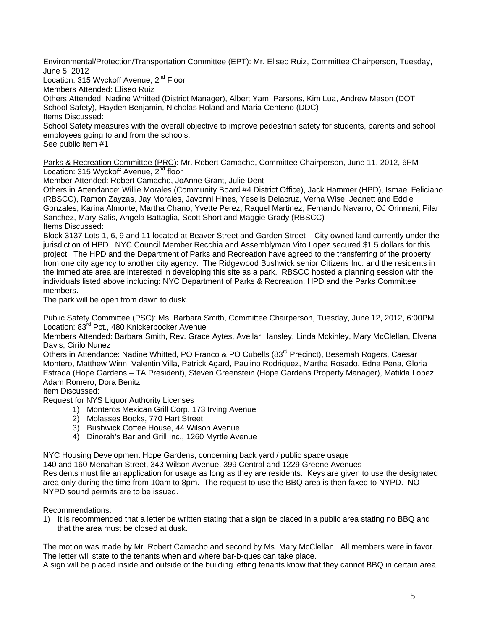Environmental/Protection/Transportation Committee (EPT): Mr. Eliseo Ruiz, Committee Chairperson, Tuesday, June 5, 2012

Location: 315 Wyckoff Avenue, 2<sup>nd</sup> Floor

Members Attended: Eliseo Ruiz

Others Attended: Nadine Whitted (District Manager), Albert Yam, Parsons, Kim Lua, Andrew Mason (DOT, School Safety), Hayden Benjamin, Nicholas Roland and Maria Centeno (DDC) Items Discussed:

School Safety measures with the overall objective to improve pedestrian safety for students, parents and school employees going to and from the schools.

See public item #1

Parks & Recreation Committee (PRC): Mr. Robert Camacho, Committee Chairperson, June 11, 2012, 6PM Location: 315 Wyckoff Avenue, 2<sup>nd</sup> floor

Member Attended: Robert Camacho, JoAnne Grant, Julie Dent

Others in Attendance: Willie Morales (Community Board #4 District Office), Jack Hammer (HPD), Ismael Feliciano (RBSCC), Ramon Zayzas, Jay Morales, Javonni Hines, Yeselis Delacruz, Verna Wise, Jeanett and Eddie Gonzales, Karina Almonte, Martha Chano, Yvette Perez, Raquel Martinez, Fernando Navarro, OJ Orinnani, Pilar Sanchez, Mary Salis, Angela Battaglia, Scott Short and Maggie Grady (RBSCC) Items Discussed:

Block 3137 Lots 1, 6, 9 and 11 located at Beaver Street and Garden Street – City owned land currently under the jurisdiction of HPD. NYC Council Member Recchia and Assemblyman Vito Lopez secured \$1.5 dollars for this project. The HPD and the Department of Parks and Recreation have agreed to the transferring of the property from one city agency to another city agency. The Ridgewood Bushwick senior Citizens Inc. and the residents in the immediate area are interested in developing this site as a park. RBSCC hosted a planning session with the individuals listed above including: NYC Department of Parks & Recreation, HPD and the Parks Committee members.

The park will be open from dawn to dusk.

Public Safety Committee (PSC): Ms. Barbara Smith, Committee Chairperson, Tuesday, June 12, 2012, 6:00PM Location: 83<sup>rd</sup> Pct., 480 Knickerbocker Avenue

Members Attended: Barbara Smith, Rev. Grace Aytes, Avellar Hansley, Linda Mckinley, Mary McClellan, Elvena Davis, Cirilo Nunez

Others in Attendance: Nadine Whitted, PO Franco & PO Cubells (83<sup>rd</sup> Precinct), Besemah Rogers, Caesar Montero, Matthew Winn, Valentin Villa, Patrick Agard, Paulino Rodriquez, Martha Rosado, Edna Pena, Gloria Estrada (Hope Gardens – TA President), Steven Greenstein (Hope Gardens Property Manager), Matilda Lopez, Adam Romero, Dora Benitz

Item Discussed:

Request for NYS Liquor Authority Licenses

- 1) Monteros Mexican Grill Corp. 173 Irving Avenue
- 2) Molasses Books, 770 Hart Street
- 3) Bushwick Coffee House, 44 Wilson Avenue
- 4) Dinorah's Bar and Grill Inc., 1260 Myrtle Avenue

NYC Housing Development Hope Gardens, concerning back yard / public space usage 140 and 160 Menahan Street, 343 Wilson Avenue, 399 Central and 1229 Greene Avenues Residents must file an application for usage as long as they are residents. Keys are given to use the designated area only during the time from 10am to 8pm. The request to use the BBQ area is then faxed to NYPD. NO NYPD sound permits are to be issued.

Recommendations:

1) It is recommended that a letter be written stating that a sign be placed in a public area stating no BBQ and that the area must be closed at dusk.

The motion was made by Mr. Robert Camacho and second by Ms. Mary McClellan. All members were in favor. The letter will state to the tenants when and where bar-b-ques can take place.

A sign will be placed inside and outside of the building letting tenants know that they cannot BBQ in certain area.